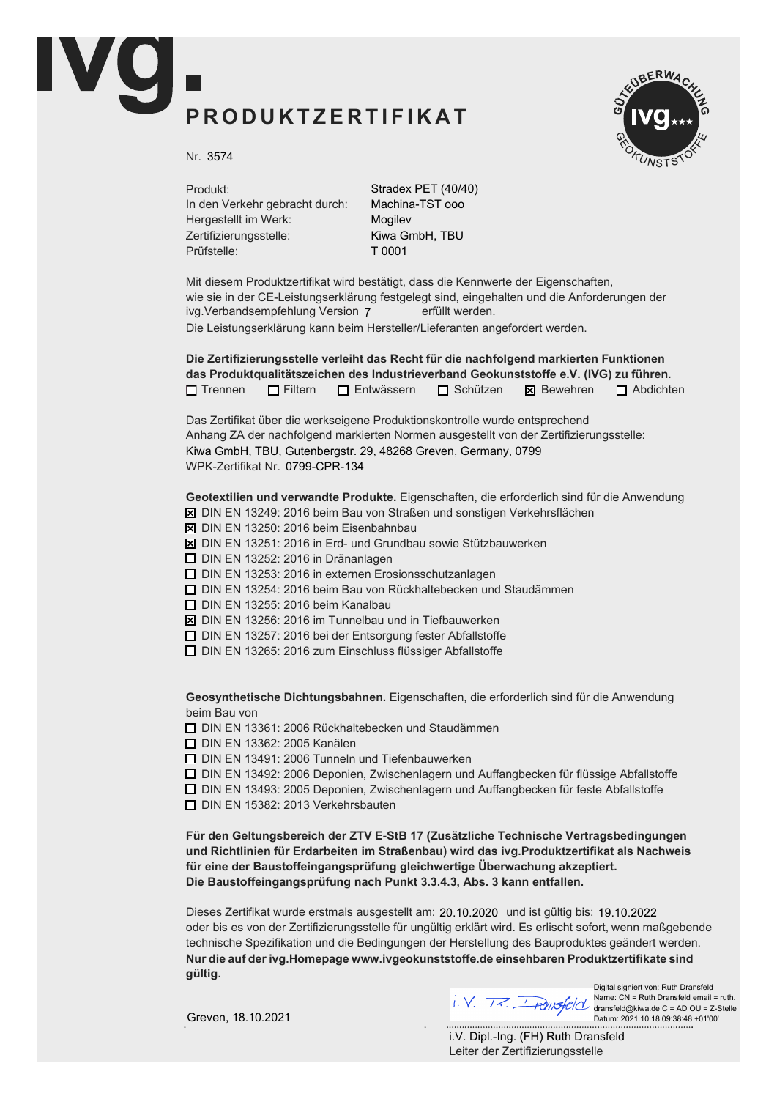## PRODUKTZERTIFIKAT



Nr. 3574

Produkt: In den Verkehr gebracht durch: Hergestellt im Werk: Zertifizierungsstelle: Prüfstelle:

Stradex PET (40/40) Machina-TST ooo Mogilev Kiwa GmbH, TBU T 0001

Mit diesem Produktzertifikat wird bestätigt, dass die Kennwerte der Eigenschaften, wie sie in der CE-Leistungserklärung festgelegt sind, eingehalten und die Anforderungen der ivg.Verbandsempfehlung Version 7 erfüllt werden. Die Leistungserklärung kann beim Hersteller/Lieferanten angefordert werden.

Die Zertifizierungsstelle verleiht das Recht für die nachfolgend markierten Funktionen das Produktqualitätszeichen des Industrieverband Geokunststoffe e.V. (IVG) zu führen.  $\Box$  Trennen  $\Box$  Filtern  $\Box$  Entwässern  $\Box$  Schützen  $\boxtimes$  Bewehren  $\Box$  Abdichten

Das Zertifikat über die werkseigene Produktionskontrolle wurde entsprechend Anhang ZA der nachfolgend markierten Normen ausgestellt von der Zertifizierungsstelle: WPK-Zertifikat Nr. 0799-CPR-134 Kiwa GmbH, TBU, Gutenbergstr. 29, 48268 Greven, Germany, 0799

Geotextilien und verwandte Produkte. Eigenschaften, die erforderlich sind für die Anwendung

- $\overline{X}$  DIN EN 13249: 2016 beim Bau von Straßen und sonstigen Verkehrsflächen
- $\boxtimes$  DIN EN 13250: 2016 beim Eisenbahnbau
- $\boxtimes$  DIN EN 13251: 2016 in Erd- und Grundbau sowie Stützbauwerken
- $\Box$  DIN EN 13252: 2016 in Dränanlagen
- $\Box$  DIN EN 13253: 2016 in externen Erosionsschutzanlagen
- $\Box$  DIN EN 13254: 2016 beim Bau von Rückhaltebecken und Staudämmen
- $\Box$  DIN EN 13255: 2016 beim Kanalbau
- $\boxtimes$  DIN EN 13256: 2016 im Tunnelbau und in Tiefbauwerken
- $\Box$  DIN EN 13257: 2016 bei der Entsorgung fester Abfallstoffe
- $\Box$  DIN EN 13265: 2016 zum Einschluss flüssiger Abfallstoffe

Geosynthetische Dichtungsbahnen. Eigenschaften, die erforderlich sind für die Anwendung beim Bau von

 $\Box$  DIN EN 13361: 2006 Rückhaltebecken und Staudämmen

**D** DIN EN 13362: 2005 Kanälen

 $\Box$  DIN EN 13491: 2006 Tunneln und Tiefenbauwerken

 $\Box$  DIN EN 13492: 2006 Deponien, Zwischenlagern und Auffangbecken für flüssige Abfallstoffe

 $\Box$  DIN EN 13493: 2005 Deponien, Zwischenlagern und Auffangbecken für feste Abfallstoffe

 $\Box$  DIN EN 15382: 2013 Verkehrsbauten

Für den Geltungsbereich der ZTV E-StB 17 (Zusätzliche Technische Vertragsbedingungen und Richtlinien für Erdarbeiten im Straßenbau) wird das ivg. Produktzertifikat als Nachweis für eine der Baustoffeingangsprüfung gleichwertige Überwachung akzeptiert. Die Baustoffeingangsprüfung nach Punkt 3.3.4.3, Abs. 3 kann entfallen.

Dieses Zertifikat wurde erstmals ausgestellt am: 20.10.2020 und ist gültig bis: 19.10.2022 oder bis es von der Zertifizierungsstelle für ungültig erklärt wird. Es erlischt sofort, wenn maßgebende technische Spezifikation und die Bedingungen der Herstellung des Bauproduktes geändert werden. Nur die auf der ivg.Homepage www.ivgeokunststoffe.de einsehbaren Produktzertifikate sind aültia.



Digital signiert von: Ruth Dransfeld Name: CN = Ruth Dransfeld email = ruth. dransfeld@kiwa.de C = AD OU = Z-Stelle Datum: 2021.10.18 09:38:48 +01'00'

Greven, 18.10.2021

Leiter der Zertifizierungsstelle i.V. Dipl.-Ing. (FH) Ruth Dransfeld